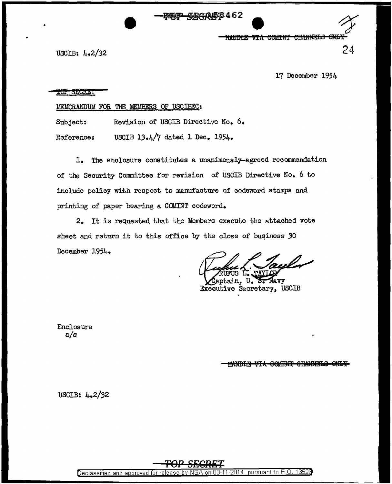404A58462

<del>via comint</del> <del>CHANNELS</del> **HEADY REPORT** 

USCIB: 4.2/32

17 December 1954

24

## **FOP SECRET**

MEMORANDUM FOR THE MEMBERS OF USCIBEC:

Subject: Revision of USCIB Directive No.  $6.$ 

Reference: USCIB 13.4/7 dated 1 Dec.  $1954.$ 

1. The enclosure constitutes a unanimously-agreed reconunendation of the Security Committee for revision of USCIB Directive No. 6 to include policy with respect to manufacture of codeword stamps and printing of paper bearing a COMINT codeword.

 $2.$  It is requested that the Members execute the attached vote sheet and return it to this office by the close of business 30 December 1954.

Navy aptain. Executive Secretary, USCIB

Enclosure a/s

**HANDIE VIA GOMINT GHANDLS** 

USCIB: 4.2/32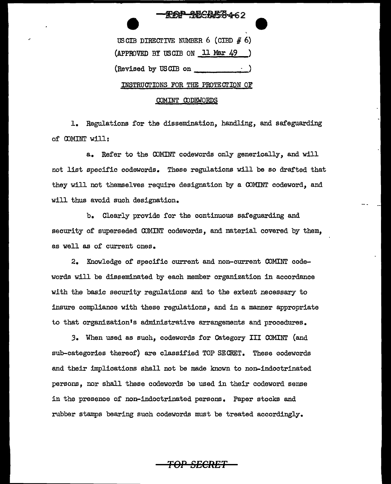## USCIB DIRECTIVE NUMBER 6 (CIBD  $# 6$ ) (APPROVED BY USCIB ON 11 Mar 49 (Revised by USCIB on  $\frac{1}{\sqrt{1-\frac{1}{c^2}}}$ INSTRUGrIONS FOR THE PROTE GrION OF

千吨千万万千462

## OOMINT OODEWORDS

1. Regulations for the dissemination, handling, and safeguarding of OOMINT will:

a. Refer to the COMINT codewords only generically, and will not list specific codewords. These regulations will be so draf'ted that they will not themselves require designation by a COMINT codeword, and will thus avoid such designation.

b. Clearly provide for the continuous safeguarding and security of superseded COMINT codewords, and material covered by them, as well as of current ones.

2. Knowledge of specific current and non-current COMINT codewords will be disseminated by each member organization in accordance with the basic security regulations and to the extent necessary to insure compliance with these regulations, and in a manner appropriate to that organization's administrative arrangements and procedures.

*3.* When used as such, codewords for Category III COMINT (and sub-categories thereof) are classified TOP SECRET. These codewords and their implications shall not be made known to non-indoctrinated persons, nor shall these codewords be used in their codeword sense in the presence of non-indoctrinated persons. Paper stocks and rubber stamps bearing such codewords must be treated accordingly.

*TOP SECRET*